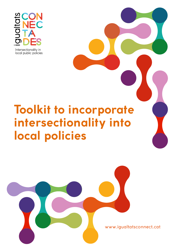

## **Toolkit to incorporate intersectionality into local policies**



www.igualtatsconnect.cat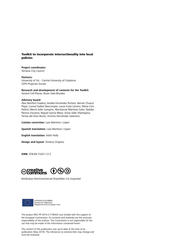#### Toolkit to incorporate intersectionality into local policies

**Project coordinator:** Terrassa City Council

**Partners:** University of Vic - Central University of Catalonia CEPS Projectes Socials

**Research and development of contents for the Toolkit:** Gerard Coll-Planas, Roser Solà-Morales

#### **Advisory board:**

Àlex Monfort Fradera; Amàlia Fernández Portero; Bernat Chueca Playà; Consol Gallart Bascompte; Laura Fuste Llorens; Maria Cors Pedrol; Mercè Soler Campins; Montserrat Martínez Soler; Natalia Perona Vizcaino; Raquel Garcia Mesa; Sonia Valle Vilamitjana; Teresa del Amo Busto; Victoria Hernández Salamero

**Catalan correction:** Laia Martínez i López

**Spanish translation:** Laia Martínez i López

**English translation:** Ailish Holly

**Design and layout:** Ximena Chapero

**ISBN:** 978-84-15421-12-2



Attribution-NonCommercial-ShareAlike 3.0 Unported



Co-funded by the Rights,<br>Equality and Citizenship Programme of the European Union

This project (REC-PP-2016-2-776043) was funded with the support of the European Commission. Its contents and materials are the exclusive responsibility of the authors. The Commission is not responsible for the use that may be made of the information contained herein.

The content of this publication was up-to-date at the time of its publication (May 2019). The references to external links may change and must be reviewed.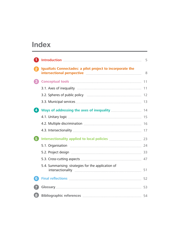## **Index**

|                  |                                                                                                                                                                                                                                                                                                   | 5 |
|------------------|---------------------------------------------------------------------------------------------------------------------------------------------------------------------------------------------------------------------------------------------------------------------------------------------------|---|
| $\vert 2 \vert$  | Igualtats Connectades: a pilot project to incorporate the<br>intersectional perspective <b>Electional and Service Contract and Service Contract and Service Contract and Service Contract and Service Contract and Service Contract and Service Contract and Service Contract and Service Con</b> |   |
| $\bf{3}$         |                                                                                                                                                                                                                                                                                                   |   |
|                  |                                                                                                                                                                                                                                                                                                   |   |
|                  |                                                                                                                                                                                                                                                                                                   |   |
|                  |                                                                                                                                                                                                                                                                                                   |   |
| $\boldsymbol{A}$ |                                                                                                                                                                                                                                                                                                   |   |
|                  |                                                                                                                                                                                                                                                                                                   |   |
|                  |                                                                                                                                                                                                                                                                                                   |   |
|                  |                                                                                                                                                                                                                                                                                                   |   |
| 6                | Intersectionality applied to local policies <b>manually and the CO</b> 23                                                                                                                                                                                                                         |   |
|                  |                                                                                                                                                                                                                                                                                                   |   |
|                  |                                                                                                                                                                                                                                                                                                   |   |
|                  |                                                                                                                                                                                                                                                                                                   |   |
|                  | 5.4. Summarising: strategies for the application of                                                                                                                                                                                                                                               |   |
| $6^{\circ}$      |                                                                                                                                                                                                                                                                                                   |   |
|                  |                                                                                                                                                                                                                                                                                                   |   |
| $\bf{8}$         |                                                                                                                                                                                                                                                                                                   |   |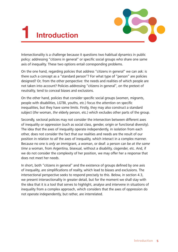# **1 Introduction**



Intersectionality is a challenge because it questions two habitual dynamics in public policy: addressing "citizens in general" or specific social groups who share one same axis of inequality. These two options entail corresponding problems.

On the one hand, regarding policies that address "citizens in general" we can ask: is there such a concept as a "standard person"? For what type of "person" are policies designed? Or, from the other perspective: the needs and realities of which people are not taken into account? Policies addressing "citizens in general", on the pretext of neutrality, tend to conceal biases and exclusions.

On the other hand, policies that consider specific social groups (women, migrants, people with disabilities, LGTBI, youths, etc.) focus the attention on specific inequalities, but they have some limits. Firstly, they may also construct a standard subject (the woman, the elderly person, etc.) which excludes other parts of the group.

Secondly, sectoral policies may not consider the intersection between different axes of inequality or oppression (such as social class, gender, origin or functional diversity). The idea that the axes of inequality operate independently, in isolation from each other, does not consider the fact that our realities and needs are the result of our position in relation to all the axes of inequality, which interact in a complex manner. Because no one is only an immigrant, a woman, or deaf: a person can be at the same time a woman, from Argentina, bisexual, without a disability, cisgender, etc. And, if we do not consider the complexity of her position, we may offer her a response that does not meet her needs.

In short, both "citizens in general" and the existence of groups defined by one axis of inequality, are simplifications of reality, which lead to biases and exclusions. The intersectional perspective seeks to respond precisely to this. Below, in section 4.3, we present intersectionality in greater detail, but for the moment we shall stay with the idea that it is a tool that serves to highlight, analyse and intervene in situations of inequality from a complex approach, which considers that the axes of oppression do not operate independently, but rather, are interrelated.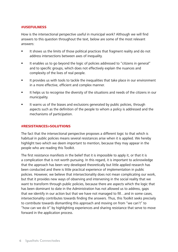#### #USEFULNESS

How is the intersectional perspective useful in municipal work? Although we will find answers to this question throughout the text, below are some of the most relevant answers:

- It shows us the limits of those political practices that fragment reality and do not address intersections between axes of inequality.
- It enables us to go beyond the logic of policies addressed to "citizens in general" and to specific groups, which does not effectively explain the nuances and complexity of the lives of real people.
- It provides us with tools to tackle the inequalities that take place in our environment in a more effective, efficient and complex manner.
- It helps us to recognise the diversity of the situations and needs of the citizens in our municipality.
- It warns us of the biases and exclusions generated by public policies, through aspects such as the definition of the people to whom a policy is addressed and the mechanisms of participation.

#### #RESISTANCES>SOLUTIONS

The fact that the intersectional perspective proposes a different logic to that which is habitual in public policies means several resistances arise when it is applied. We hereby highlight two which we deem important to mention, because they may appear in the people who are reading this Toolkit.

The first resistance manifests in the belief that it is impossible to apply it, or that it is a complication that is not worth pursuing. In this regard, it is important to acknowledge that the approach has been very developed theoretically but little applied research has been conducted and there is little practical experience of implementation in public policies. However, we believe that intersectionality does not mean complicating our work, but that it provides new ways of observing and intervening in the social reality that we want to transform through public policies, because there are aspects which the logic that has been dominant to date in the Administration has not allowed us to address, gaps that we identify in our action but that we have not managed to fill…and in some cases, intersectionality contributes towards finding the answers. Thus, this Toolkit seeks precisely to contribute towards dismantling this approach and moving on from "we can't" to "how can we do it" by highlighting experiences and sharing resistance that serve to move forward in the application process.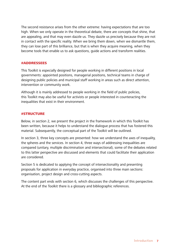The second resistance arises from the other extreme: having expectations that are too high. When we only operate in the theoretical debate, there are concepts that shine, that are appealing, and that may even dazzle us. They dazzle us precisely because they are not in contact with the specific reality. When we bring them down, when we dismantle them, they can lose part of this brilliance, but that is when they acquire meaning, when they become tools that enable us to ask questions, guide actions and transform realities.

#### #ADDRESSEES

This Toolkit is especially designed for people working in different positions in local governments: appointed positions, managerial positions, technical teams in charge of designing public policies and municipal staff working in areas such as direct attention, intervention or community work.

Although it is mainly addressed to people working in the field of public policies, this Toolkit may also be useful for activists or people interested in counteracting the inequalities that exist in their environment.

#### #STRUCTURE

Below, in section 2, we present the project in the framework in which this Toolkit has been written, because it helps to understand the dialogue process that has fostered this material. Subsequently, the conceptual part of the Toolkit will be outlined.

In section 3, three key concepts are presented: how we understand the axes of inequality, the spheres and the services. In section 4, three ways of addressing inequalities are compared (unitary, multiple discrimination and intersectional), some of the debates related to this latter perspective are discussed and elements that could facilitate their application are considered.

Section 5 is dedicated to applying the concept of intersectionality and presenting proposals for application in everyday practice, organised into three main sections: organisation, project design and cross-cutting aspects.

The content part ends with section 6, which discusses the challenges of this perspective. At the end of the Toolkit there is a glossary and bibliographic references.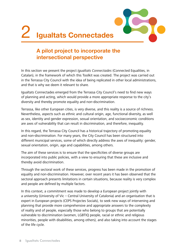



In this section we present the project *Igualtats Connectades* (Connected Equalities, in Catalan), in the framework of which this Toolkit was created. The project was carried out in the Terrassa City Council with the idea of being replicated in other local administrations, and that is why we deem it relevant to share.

Igualtats Connectades emerged from the Terrassa City Council's need to find new ways of planning and acting, which would provide a more appropriate response to the city's diversity and thereby promote equality and non-discrimination.

Terrassa, like other European cities, is very diverse, and this reality is a source of richness. Nevertheless, aspects such as ethnic and cultural origin, age, functional diversity, as well as sex, identity and gender expression, sexual orientation, and socioeconomic conditions are axes of vulnerability that can result in discrimination, and therefore, inequality.

In this regard, the Terrassa City Council has a historical trajectory of promoting equality and non-discrimination. For many years, the City Council has been structured into different municipal services, some of which directly address the axes of inequality: gender, sexual orientation, origin, age and capabilities, among others.

The aim of these services is to ensure that the specificities of diverse groups are incorporated into public policies, with a view to ensuring that these are inclusive and thereby avoid discrimination.

Through the sectoral work of these services, progress has been made in the promotion of equality and non-discrimination. However, over recent years it has been observed that the sectoral approach presents limitations in certain situations, because reality is very complex and people are defined by multiple factors.

In this context, a commitment was made to develop a European project jointly with a university (University of Vic – Central University of Catalonia) and an organisation that is expert in European projects (CEPS Projectes Socials), to seek new ways of intervening and planning that provide more comprehensive and appropriate answers to the complexity of reality and of people, especially those who belong to groups that are potentially vulnerable to discrimination (women, LGBTIQ people, racial or ethnic and religious minorities, people with disabilities, among others), and also taking into account the stages of the life cycle.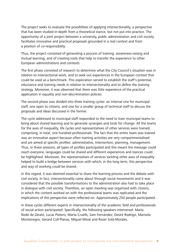The project seeks to evaluate the possibilities of applying intersectionality, a perspective that has been studied in-depth from a theoretical stance, but not put into practice. The opportunity of a joint project between a university, public administration and civil society facilitates innovative and practical proposals grounded in a real context and from a position of co-responsibility.

Thus, the project consisted of generating a process of training, awareness-raising and mutual learning, and of creating tools that help to transfer the experience to other European administrations and contexts.

The first phase consisted of research to determine what the City Council's situation was in relation to intersectional work, and to seek out experiences in the European context that could be used as a benchmark. This exploration served to establish the staff's potential, reluctance and training needs in relation to intersectionality and to define the training strategy. Moreover, it was observed that there was little experience of the practical application in equality and non-discrimination policies.

The second phase was divided into three training cycles: an internal one for municipal staff, one open to citizens, and one for a smaller group of technical staff to discuss the proposals and ideas discussed in the former.

The cycle addressed to municipal staff responded to the need to train municipal teams to bring about shared learning and to generate synergies and tools for change. All the teams for the axes of inequality, life cycles and representatives of other services were trained, comprising, in total, one hundred professionals. The fact that the entire team was trained was an innovative aspect because often training activities are very compartmentalised and are aimed at specific profiles: administrative, intervention, planning, management. Thus, in these sessions, all types of profiles participated and this meant the message could reach everyone, languages could be shared and different experiences and stances could be highlighted. Moreover, the representatives of services tackling other axes of inequality helped to build a bridge between services with which, in the long term, this perspective and way of working could be shared.

In this regard, it was deemed essential to share the learning process and the debate with civil society. In fact, intersectionality came about through social movements and it was considered that the possible transformations to the administration also had to take place in dialogue with civil society. Therefore, an open meeting was organised with citizens, in which the content worked on with the professional teams was replicated and the implications of this perspective were reflected on. Approximately 250 people participated.

In these cycles different experts in intersectionality of the academic field and professionals of social action participated. Specifically, the following speakers intervened: Maria Rodó de Zárate, Lucas Platero, Marta Cruells, Sam Fernández; Desiré Rodrigo, Marisela Montenegro, Gerard Coll-Planas, Miquel Missé and Roser Solà-Morales.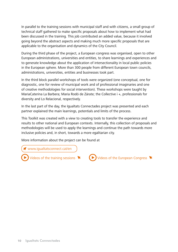In parallel to the training sessions with municipal staff and with citizens, a small group of technical staff gathered to make specific proposals about how to implement what had been discussed in the training. This job contributed an added value, because it involved going beyond the abstract aspects and making much more specific proposals that are applicable to the organisation and dynamics of the City Council.

During the third phase of the project, a European congress was organised, open to other European administrations, universities and entities, to share learnings and experiences and to generate knowledge about the application of intersectionality in local public policies in the European sphere. More than 300 people from different European town councils, administrations, universities, entities and businesses took part.

In the third block parallel workshops of tools were organized (one conceptual, one for diagnostic, one for review of municipal work and of professional imaginaries and one of creative methodologies for social intervention). These workshops were taught by MariaCaterina La Barbera; Maria Rodó de Zárate; the Collective i +, professionals for diversity and Lo Relacional, respectively.

In the last part of the day, the Igualtats Connectades project was presented and each partner explained the main learnings, potentials and limits of the process.

This Toolkit was created with a view to creating tools to transfer the experience and results to other national and European contexts. Internally, this collection of proposals and methodologies will be used to apply the learnings and continue the path towards more inclusive policies and, in short, towards a more egalitarian city.

More information about the project can be found at

[www.igualtatsconnect.cat/](ajuntament.barcelona.cat/premsa/wp-content/uploads/2016/06/Estrat%C3%A8gia-contra-la-feminitzaci%C3%B3-de-la-pobresa-DEF.pdf)en

[Videos of the training sessions](http://igualtatsconnect.cat/en/training-resources/)  $\blacktriangleright$ 

 $\blacktriangleright$  [Videos of the European Congress](www.igualtatsconnect.cat/en/conference)  $\blacktriangleright$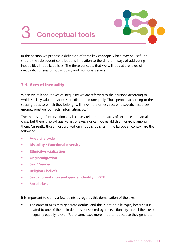# 3 **Conceptual tools**



In this section we propose a definition of three key concepts which may be useful to situate the subsequent contributions in relation to the different ways of addressing inequalities in public policies. The three concepts that we will look at are: axes of inequality, spheres of public policy and municipal services.

### 3.1. Axes of inequality

When we talk about axes of inequality we are referring to the divisions according to which socially valued resources are distributed unequally. Thus, people, according to the social groups to which they belong, will have more or less access to specific resources (money, prestige, contacts, information, etc.).

The theorising of intersectionality is closely related to the axes of sex, race and social class, but there is no exhaustive list of axes, nor can we establish a hierarchy among them. Currently, those most worked on in public policies in the European context are the following:

- **Age / Life cycle**
- **Disability / Functional diversity**
- **Ethnicity/racialization**
- **Origin/migration**
- **Sex / Gender**
- **Religion / beliefs**
- **Sexual orientation and gender identity / LGTBI**
- **Social class**

It is important to clarify a few points as regards this demarcation of the axes:

 The order of axes may generate doubts, and this is not a futile topic, because it is related to one of the main debates considered by intersectionality: are all the axes of inequality equally relevant?, are some axes more important because they generate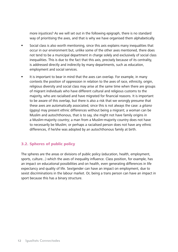more injustices? As we will set out in the following epigraph, there is no standard way of prioritising the axes, and that is why we have organised them alphabetically.

- Social class is also worth mentioning, since this axis explains many inequalities that occur in our environment but, unlike some of the other axes mentioned, there does not tend to be a municipal department in charge solely and exclusively of social class inequalities. This is due to the fact that this axis, precisely because of its centrality, is addressed directly and indirectly by many departments, such as education, employment and social services.
- It is important to bear in mind that the axes can overlap. For example, in many contexts the position of oppression in relation to the axes of race, ethnicity, origin, religious diversity and social class may arise at the same time when there are groups of migrant individuals who have different cultural and religious customs to the majority, who are racialised and have migrated for financial reasons. It is important to be aware of this overlap, but there is also a risk that we wrongly presume that these axes are automatically associated, since this is not always the case: a *gitano* (gypsy) may present ethnic differences without being a migrant; a woman can be Muslim and autochthonous, that is to say, she might not have family origins in a Muslim-majority country; a man from a Muslim-majority country does not have to necessarily be Muslim; or perhaps a racialised person does not have any ethnic differences, if he/she was adopted by an autochthonous family at birth.

#### 3.2. Spheres of public policy

The spheres are the areas or divisions of public policy (education, health, employment, sports, culture...) which the axes of inequality influence. Class position, for example, has an impact on educational possibilities and on health, even generating differences in life expectancy and quality of life. Sex/gender can have an impact on employment, due to sexist discriminations in the labour market. Or, being a trans person can have an impact in sport because this has a binary structure.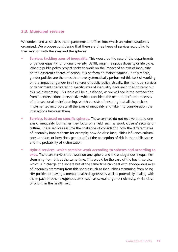#### 3.3. Municipal services

We understand as services the departments or offices into which an Administration is organised. We propose considering that there are three types of services according to their relation with the axes and the spheres:

- **Services tackling axes of inequality**. This would be the case of the departments of gender equality, functional diversity, LGTBI, origin, religious diversity or life cycle. When a public policy project seeks to work on the impact of an axis of inequality on the different spheres of action, it is performing mainstreaming. In this regard, gender policies are the ones that have systematically performed this task of working on the impact of gender in all spheres of public policy. Usually, the municipal services or departments dedicated to specific axes of inequality have each tried to carry out this mainstreaming. This logic will be questioned, as we will see in the next section, from an intersectional perspective which considers the need to perform processes of intersectional mainstreaming, which consists of ensuring that all the policies implemented incorporate all the axes of inequality and take into consideration the interactions between them.
- **Services focused on specific spheres.** These services do not revolve around one axis of inequality, but rather they focus on a field, such as sport, citizens' security or culture. These services assume the challenge of considering how the different axes of inequality impact them: for example, how do class inequalities influence cultural consumption, or how does gender affect the perception of risk in the public space and the probability of victimisation.
- **Hybrid services, which combine work according to spheres and according to axes.** There are services that work on one sphere and the endogenous inequalities stemming from this at the same time. This would be the case of the health service, which is in charge of a sphere but at the same time can deal with endogenous axes of inequality stemming from this sphere (such as inequalities stemming from being HIV positive or having a mental health diagnosis) as well as potentially dealing with the impact of other exogenous axes (such as sexual or gender diversity, social class or origin) in the health field.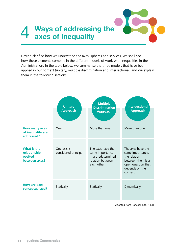# **Ways of addressing the axes of inequality**

Having clarified how we understand the axes, spheres and services, we shall see how these elements combine in the different models of work with inequalities in the Administration. In the table below, we summarise the three models that have been applied in our context (unitary, multiple discrimination and intersectional) and we explain them in the following sections.

|                                                         | <b>Unitary</b><br><b>Approach</b>   | <b>Multiple</b><br><b>Discrimination</b><br><b>Approach</b>                                  | <b>Intersectional</b><br><b>Approach</b>                                                                                       |
|---------------------------------------------------------|-------------------------------------|----------------------------------------------------------------------------------------------|--------------------------------------------------------------------------------------------------------------------------------|
| <b>How many axes</b><br>of inequality are<br>addressed? | One                                 | More than one                                                                                | More than one                                                                                                                  |
| What is the<br>relationship<br>posited<br>between axes? | One axis is<br>considered principal | The axes have the<br>same importance<br>in a predetermined<br>relation between<br>each other | The axes have the<br>same importance;<br>the relation<br>between them is an<br>open question that<br>depends on the<br>context |
| <b>How are axes</b><br>conceptualized?                  | Statically                          | Statically                                                                                   | Dynamically                                                                                                                    |

Adapted from Hancock (2007: 64)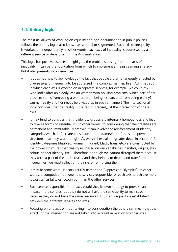### 4.1. Unitary logic

The most usual way of working on equality and non-discrimination in public policies follows the unitary logic, also known as sectoral or segmented. Each axis of inequality is worked on independently. In other words, each axis of inequality is addressed by a different service or department in the Administration.

This logic has positive aspects: it highlights the problems arising from one axis of inequality; it can be the foundation from which to implement a mainstreaming strategy... But it also presents inconveniences:

- It does not help to acknowledge the fact that people are simultaneously affected by diverse axes of inequality to be addressed in a complex manner. In an Administration in which each axis is worked on in separate services, for example, we could ask who looks after an elderly lesbian woman with housing problems: which part of her problem stems from being a woman, from being lesbian, and from being elderly?; can her reality and her needs be divided up in such a manner? The intersectional logic considers that her reality is the result, precisely, of the intersection of these axes.
- It may tend to consider that the identity groups are internally homogenous and lead to diverse forms of essentialism, in other words, to considering that their realities are permanent and immutable. Moreover, it can involve the reinforcement of identity categories which, in fact, are constituted in the framework of the same power structures that they want to fight. As we shall explain in greater detail in section 4.4, identity categories (disabled, woman, migrant, black, trans, etc.) are constructed by the power structures that classify us (based on our capabilities, genitals, origins, skin colour, gender identity, etc.). Therefore, although we cannot disregard them because they form a part of the social reality and they help us to detect and transform inequalities, we must reflect on the risks of reinforcing them.
- It may become what Hancock (2007) named the "Oppression Olympics", in other words, a competition between the services responsible for each axis to achieve more resources, visibility or recognition than the other services.
- Each service responsible for an axis establishes its own strategy to provoke an impact in the spheres, but they do not all have the same ability to mainstream, because they do not have the same resources. Thus, an inequality is established between the different services and axes.
- Focusing on one axis without taking into consideration the others can mean that the effects of the intervention are not taken into account in relation to other axes.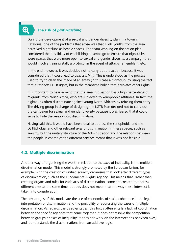## **The risk of pink washing**

 $\bigoplus$ 

During the development of a sexual and gender diversity plan in a town in Catalonia, one of the problems that arose was that LGBT youths from the area perceived nightclubs as hostile spaces. The team working on the action plan considered the possibility of establishing a campaign to ensure that nightclubs were spaces that were more open to sexual and gender diversity; a campaign that would involve training staff, a protocol in the event of attacks, an emblem, etc.

In the end, however, it was decided not to carry out the action because it was considered that it could lead to *pink washing*. This is understood as the process used to try to clean the image of an entity (in this case a nightclub) by using the fact that it respects LGTB rights, but in the meantime hiding that it violates other rights.

It is important to bear in mind that the area in question has a high percentage of migrants from North Africa, who are subjected to xenophobic attitudes. In fact, the nightclubs often discriminate against young North Africans by refusing them entry. The driving group in charge of designing the LGTB Plan decided not to carry out the campaign for sexual and gender diversity because it was feared that it could serve to hide the xenophobic discrimination.

Having said this, it would have been ideal to address the xenophobia and the LGTBphobia (and other relevant axes of discrimination in these spaces, such as sexism), but the unitary structure of the Administration and the relations between the people in charge of the different services meant that it was not feasible.

#### 4.2. Multiple discrimination

Another way of organising the work, in relation to the axes of inequality, is the multiple discrimination model. This model is strongly promoted by the European Union, for example, with the creation of unified equality organisms that look after different types of discrimination, such as the Fundamental Rights Agency. This means that, rather than creating organs and rules for each axis of discrimination, some are created to address different axes at the same time, but this does not mean that the way these intersect is taken into consideration.

The advantages of this model are the use of economies of scale, coherence in the legal interpretation of discrimination and the possibility of addressing the cases of multiple discrimination. As regards the disadvantages, this focus often entails a lack of coordination between the specific agendas that come together; it does not resolve the competition between groups or axes of inequality; it does not work on the intersections between axes; and it understands the discriminations from an additive logic.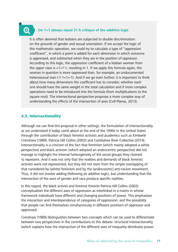$\bigoplus$ 

#### **Do 1+1 always equal 2? A critique of the additive logic**

It is often deemed that lesbians are subjected to double discrimination: on the grounds of gender and sexual orientation. If we accept the logic of this mathematic operation, we could try to calculate a type of "oppression coefficient", in which a point is added for each dimension in which someone is oppressed, and subtracted when they are in the position of oppressor. According to this logic, the oppression coefficient of a lesbian woman from the upper class is  $+1+1-1$ , resulting in 1. If we apply this formula again, the woman in question is more oppressed than, for example, an undocumented heterosexual man  $(-1-1+1=1)$ . And if we go even further, it is important to think about how many dimensions the coefficient has to consider, whether each one should have the same weight in the total calculation and if more complex operations need to be introduced into the formula (from multiplications to the square root). The intersectional perspective proposes a more complex way of understanding the effects of the intersection of axes (Coll-Planas, 2013).

#### 4.3. Intersectionality

Although we can find this proposal in other settings, the formulation of intersectionality as we understand it today came about at the end of the 1990s in the United States through the contribution of black feminist activists and academics such as Kimberlé Crenshaw (1989), Patricia Hill Collins (2002) and Combahee River Collective (2014). Intersectionality is a criticism of the fact that feminism (which mainly adopted a white perspective) and black activism (which adopted an androcentric perspective) did not manage to highlight the internal heterogeneity of the social groups they claimed to represent. And it was not only that the realities and demands of black feminist activists were not represented, but they did not stem from the simple overlapping of that considered by (white) feminism and by the (androcentric) anti-racism movement. Thus, it did not involve adding (following an additive logic), but understanding that the intersection of the axes of gender and race produce specific realities.

In this regard, the black activist and feminist theorist Patricia Hill Collins (2002) conceptualises the different axes of oppression as interlinked in a matrix in whose framework individuals have different and changing positions of power. This emphasises the interaction and interdependence of categories of oppression, and the possibility that people can find themselves simultaneously in different positions of oppressor and oppressed.

Crenshaw (1989) distinguishes between two concepts which can be used to differentiate between two perspectives in the contributions to this debate: structural intersectionality (which explains how the intersection of the different axes of inequality distributes power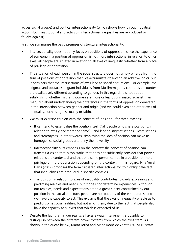across social groups) and political intersectionality (which shows how, through political action –both institutional and activist–, intersectional inequalities are reproduced or fought against).

First, we summarise the basic premises of structural intersectionality:

- Intersectionality does not only focus on positions of oppression, since the experience of someone in a position of oppression is not more intersectional in relation to other axes: all people are situated in relation to all axes of inequality, whether from a place of privilege or oppression.
- **The situation of each person in the social structure does not simply emerge from the** sum of positions of oppression that we accumulate (following an additive logic), but it considers that the intersections of axes lead to specific situations. For example, the stigmas and obstacles migrant individuals from Muslim-majority countries encounter are qualitatively different according to gender. In this regard, it is not about establishing whether migrant women are more or less discriminated against than men, but about understanding the differences in the forms of oppression generated in the intersection between gender and origin (and we could even add other axes of inequality, such as age, sexuality or faith).
- We must exercise caution with the concept of 'position', for three reasons:
	- It can tend to essentialise the position itself ("all people who share position x in relation to axes y and z are the same"), and lead to stigmatisations, victimisations and stereotypes. In other words, simplifying the idea of position can make us homogenise social groups and deny their diversity.
	- Intersectionality puts emphasis on the context: the concept of position can transmit a vision that is too static, that does not sufficiently consider that power relations are contextual and that one same person can be in a position of more privilege or more oppression depending on the context. In this regard, Nira Yuval Davis (2017) proposes the term "situated intersectionality" to highlight the fact that inequalities are produced in specific contexts.
	- The position in relation to axes of inequality contributes towards explaining and predicting realities and needs, but it does not determine experiences. Although our realities, needs and expectations are to a great extent constrained by our position in the social structure, people are not puppets of these structures, and we have the capacity to act. This explains that the axes of inequality enable us to predict some social realities, but not all of them, due to the fact that people also have the capacity to subvert that which is expected of us.
- Despite the fact that, in our reality, all axes always intervene, it is possible to distinguish between the different power systems from which the axes stem. As shown in the quote below, Marta Jorba and Maria Rodó-de-Zárate (2019) illustrate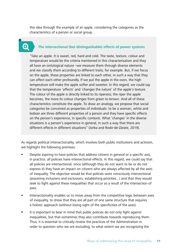this idea through the example of an apple, considering the categories as the characteristics of a person or social group.

## Ð

#### **The intersectional (but distinguishable) effects of power systems**

"Take an apple. It is sweet, red, hard and cold. The taste, texture, colour and temperature would be the criteria mentioned in this characterisation and they all have an ontological nature –we measure them through diverse elements and we classify them according to different traits, for example. But, if we focus on the apple, these properties are linked to each other, in such a way that they can affect each other profoundly. If we put the apple in the oven, the high temperature will make the apple softer and sweeter. In this regard, we could say that the temperature 'affects' and 'changes the nature' of the apple's texture. The colour of the apple is directly linked to its ripeness; the riper the apple becomes, the more its colour changes from green to brown. And all of these characteristics constitute the apple. To draw an analogy, we propose that social categories be conceived as properties of individuals: to be a woman, white and lesbian are three different properties of a person and they have specific effects on the person's experience, in specific contexts. What 'changes' in the diverse situations is a person's experience in general, in such a way that there are different effects in different situations" (Jorba and Rodó-de-Zárate, 2019).

As regards political intersectionality, which involves both public institutions and activism, we highlight the following premises:

- Despite aspiring to have policies that address citizens in general or a specific axis, in practice, all policies have intersectional effects. In this regard, we could say that all policies are intersectional, since (although they do not want to be or do not express it) they have an impact on citizens who are always affected by all the axes of inequality. The objective would be that policies were consciously intersectional (assuming inclusions and exclusions, establishing priorities...) and that they would seek to fight against these inequalities that occur as a result of the intersection of axes.
- Intersectionality enables us to move away from the competitive logic between axes of inequality, to show that they are all part of one same structure that requires a holistic approach (without losing sight of the specificities of the axes).
- It is important to bear in mind that public policies do not only fight against inequalities, but that sometimes they also contribute towards reproducing them. Thus, it is essential to critically review the practices of the Administration in order to question who we are excluding, to what extent we are recognising the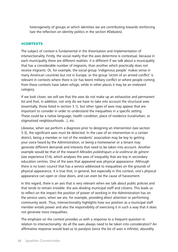heterogeneity of groups or which identities we are contributing towards reinforcing (see the reflection on identity politics in the section #Debates).

#### #CONTEXTS

The subject of context is fundamental in the theorisation and implementation of intersectionality. Firstly, the social reality that the axes determine is contextual, because in each municipality there are different realities: it is different if we talk about a municipality that has a considerable number of migrants, than another which practically does not receive migrants. Or, for example, the social group 'indigenous people' makes sense in many American countries but not in Europe; or the group 'victim of an armed conflict' is relevant in contexts where there is (or has been) military conflict or where people coming from these contexts have taken refuge, while in other places it may be an irrelevant category.

If we look closer, we will see that the axes do not make up an exhaustive and permanent list and that, in addition, not only do we have to take into account the structural axes (essentially, those listed in section 3.1), but other types of axes may appear that are important to consider in order to understand the inequalities in a specific setting. These could be a native language, health condition, place of residence (rural/urban, or stigmatised neighbourhoods...), etc.

Likewise, when we perform a diagnosis prior to designing an intervention (see section 5.3), the significant axes must be detected. In the case of an intervention in a certain district, being a member or not of the residents' association may be key to getting your voice heard by the Administration, or being a homeowner or a tenant may generate different demands and interests that need to be taken into account. Another example would be that of the research Mirades polièdriques a la violència de gènere (see experience E14), which analyses the axes of inequality that are key in secondary education centres. One of the axes that appeared was physical appearance. Although there is no town council that has a service addressed to inequalities on the grounds of physical appearance, it is true that, in general, but especially in this context, one's physical appearance can open or close doors, and can even be the cause of harassment.

In this regard, there is an axis that is very relevant when we talk about public policies and that tends to remain invisible: the axis dividing municipal staff and citizens. This leads us to reflect on the impact the position of power of working in the Administration has on the service users, when we are, for example, providing direct attention or performing community work. Thus, intersectionality highlights how our position as a municipal staff member entails power and also the responsibility of exercising it in such a way that it does not generate more inequalities.

The emphasis on the context provides us with a response to a frequent question in relation to intersectionality: do all the axes always need to be taken into consideration? An affirmative response would lead us to paralysis (since the list of axes is infinite), absurdity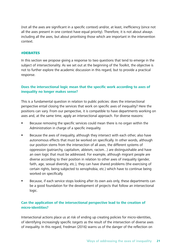(not all the axes are significant in a specific context) and/or, at least, inefficiency (since not all the axes present in one context have equal priority). Therefore, it is not about always including all the axes, but about prioritising those which are important in the intervention context.

#### #DEBATES

In this section we propose giving a response to two questions that tend to emerge in the subject of intersectionality. As we set out at the beginning of the Toolkit, the objective is not to further explore the academic discussion in this regard, but to provide a practical response.

#### **Does the intersectional logic mean that the specific work according to axes of inequality no longer makes sense?**

This is a fundamental question in relation to public policies: does the intersectional perspective entail closing the services that work on specific axes of inequality? Here the positions can vary. From our perspective, it is compatible to have departments working on axes and, at the same time, apply an intersectional approach. For diverse reasons:

- Because removing the specific services could mean there is no organ within the Administration in charge of a specific inequality.
- Because the axes of inequality, although they intersect with each other, also have autonomous effects that must be worked on specifically. In other words, although our position stems from the intersection of all axes, the different systems of oppression (patriarchy, capitalism, ableism, racism...) are distinguishable and have an own logic that must be addressed. For example, although migrant people are diverse according to their position in relation to other axes of inequality (gender, faith, age, sexual diversity, etc.), they can have shared problems (the exercising of certain rights, being subjected to xenophobia, etc.) which have to continue being worked on specifically.
- Because, if each service stops looking after its own axis only, these departments can be a good foundation for the development of projects that follow an intersectional logic.

#### **Can the application of the intersectional perspective lead to the creation of micro-identities?**

Intersectional actions place us at risk of ending up creating policies for micro-identities, of identifying increasingly specific targets as the result of the intersection of diverse axes of inequality. In this regard, Fredman (2016) warns us of the danger of the reflection on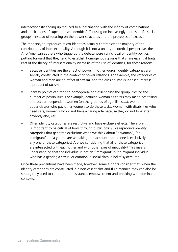intersectionality ending up reduced to a "fascination with the infinity of combinations and implications of superimposed identities" (focusing on increasingly more specific social groups), instead of focusing on the power structures and the processes of exclusion.

The tendency to reproduce micro-identities actually contradicts the majority of the contributions of intersectionality. Although it is not a unitary theoretical perspective, the Afro American authors who triggered the debate were very critical of identity politics, putting forward that they tend to establish homogenous groups that share essential traits. Part of the theory of intersectionality warns us of the use of identities, for these reasons:

- Because identities are the effect of power, in other words, identity categories are socially constructed in the context of power relations. For example, the categories of woman and man are an effect of sexism, and the division into (supposed) races is a product of racism.
- Identity politics can tend to homogenise and essentialise the group, closing the number of possibilities. For example, defining woman as carers may mean not taking into account dependent women (on the grounds of age, illness...), women from upper classes who pay other women to do these tasks, women with disabilities who need care, women who do not have a caring role because they do not look after anybody else, etc.
- Often identity categories are restrictive and have exclusive effects. Therefore, it is important to be critical of how, through public policy, we reproduce identity categories that generate exclusion; when we think about "a woman", "an immigrant" or "a youth" are we taking into account that no one is exclusively any one of these categories? Are we considering that all of these categories are intersected with each other and with other axes of inequality? This means understanding that the individual is not an "immigrant" but a migrant individual who has a gender, a sexual orientation, a social class, a belief system, etc.

Once these precautions have been made, however, some authors consider that, when the identity categories are constructed in a non-essentialist and fluid manner, they can also be strategically used to contribute to resistance, empowerment and breaking with dominant contexts.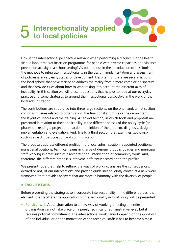# **Intersectionality applied<br>
<b>b** to local policies

How is the intersectional perspective relevant when performing a diagnosis in the health field, a labour market insertion programme for people with diverse capacities or a violence prevention activity in a school setting? As pointed out in the introduction of this Toolkit, the methods to integrate intersectionality in the design, implementation and assessment of policies is in very early stages of development. Despite this, there are several actions in the local sphere that have started to address the reality from a more complex perspective and that provide clues about how to work taking into account the different axes of inequality. In this section we will present questions that help us to look at our everyday practice and some strategies to ground the intersectional perspective in the work of the local administration.

The contributions are structured into three large sections: on the one hand, a first section comprising issues related to organisation: the functional structure or the organigram, the layout of spaces and the training. A second section, in which tools and proposals are presented in relation to their applicability in the different phases of the policy cycle (or phases of creating a project or an action): definition of the problem, diagnosis, design, implementation and evaluation. And, finally, a third section that examines two crosscutting aspects: participation and communication.

The proposals address different profiles in the local administration: appointed positions, managerial positions, technical teams in charge of designing public policies and municipal staff working in areas such as direct attention, intervention or community work. And, therefore, the different proposals intervene differently according to the profiles.

We present tools that help to rethink the ways of working, analyse the consequences, desired or not, of our interventions and provide guidelines to jointly construct a new work framework that provides answers that are more in harmony with the diversity of people.

#### # FACILITATORS

Before presenting the strategies to incorporate intersectionality in the different areas, the elements that facilitate the application of intersectionality in local policy will be presented:

**Political will.** A transformation to a new way of working affecting an entire organisation cannot take place on a purely technical or administrative level, but it requires political commitment. The intersectional work cannot depend on the good will of one individual or on the motivation of the technical staff; it has to become a main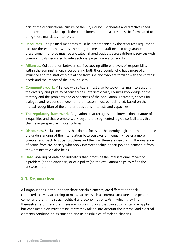part of the organisational culture of the City Council. Mandates and directives need to be created to make explicit the commitment, and measures must be formulated to bring these mandates into force.

- **Resources.** The political mandates must be accompanied by the resources required to execute these; in other words, the budget, time and staff needed to guarantee that these come into force must be allocated. Shared budgets across different services with common goals dedicated to intersectional projects are a possibility.
- **Alliances.** Collaboration between staff occupying different levels of responsibility within the administration, incorporating both those people who have more of an influence and the staff who are at the front line and who are familiar with the citizens' needs and the impact of the local policies.
- **Community work.** Alliances with citizens must also be woven, taking into account the diversity and plurality of sensitivities. Intersectionality requires knowledge of the territory and the problems and experiences of the population. Therefore, spaces for dialogue and relations between different actors must be facilitated, based on the mutual recognition of the different positions, interests and capacities.
- **The regulatory framework**. Regulations that recognise the intersectional nature of inequalities and that promote work beyond the segmented logic also facilitates this change in perspective in local policies.
- **Discourses.** Social constructs that do not focus on the identity logic, but that reinforce the understanding of the interrelation between axes of inequality, foster a more complex approach to social problems and the way these are dealt with. The existence of actors from civil society who apply intersectionality in their job and demand it from the Administration also helps.
- **Data.** Availing of data and indicators that inform of the intersectional impact of a problem (on the diagnosis) or of a policy (on the evaluation) helps to refine the answers more.

#### 5.1. Organisation

All organisations, although they share certain elements, are different and their characteristics vary according to many factors, such as internal structures, the people comprising them, the social, political and economic contexts in which they find themselves, etc. Therefore, there are no prescriptions that can automatically be applied, but each institution must define its strategy taking into account the internal and external elements conditioning its situation and its possibilities of making changes.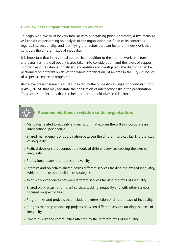#### **Overview of the organisation: where do we start?**

To begin with, we must be very familiar with our starting point. Therefore, a first measure will consist of performing an analysis of the organisation itself and of its context as regards intersectionality, and identifying the factors that can foster or hinder work that considers the different axes of inequality.

It is important that in this initial approach, in addition to the internal work structures and dynamics, the civil society is also taken into consideration, and the levels of support, complicities or resistances of citizens and entities are investigated. The diagnosis can be performed on different levels: of the whole organisation, of an area in the City Council or of a specific service or programme.

Below we present some measures, inspired by the guide Advancing Equity and Inclusion (CAWI, 2015), that may facilitate the application of intersectionality in the organisation. They are also reflections that can help to promote initiatives in this direction.



## Recommendations in relation to the organization:

- $\vee$  Mandates related to equality and inclusion that explain the will to incorporate an intersectional perspective.
- $\triangledown$  Shared management or coordination between the different services tackling the axes of inequality.
- $\triangledown$  Political decisions that connect the work of different services tackling the axes of inequality.
- $\triangleright$  Professional teams that represent diversity.
- $\blacktriangleright$  Interests and objectives shared across different services tackling the axes of inequality, which can be used to build joint strategies.
- $\blacktriangleright$  Joint work experiences between different services tackling the axes of inequality.
- $\triangledown$  Shared work areas for different services tackling inequality and with other services focused on specific fields.
- $\triangledown$  Programmes and projects that include the intersection of different axes of inequality.
- $\blacktriangleright$  Budgets that help to develop projects between different services tackling the axes of inequality.
- $\triangledown$  Synergies with the communities affected by the different axes of inequality.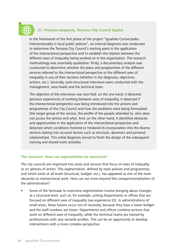## **E1. Previous diagnosis, Terrassa City Council (Spain)**

In the framework of the first phase of the project "Igualtats Connectades. Intersectionality in local public policies", an internal diagnosis was conducted to determine the Terrassa City Council's starting point in the application of the intersectional perspective and to establish the relation between the different axes of inequality being worked on in the organisation. The research methodology was essentially qualitative: firstly, a documentary analysis was conducted to determine whether the plans and programmes of the different services referred to the intersectional perspective or the different axes of inequality in any of their sections (whether in the diagnosis, objectives, actions, etc.). Secondly, semi-structured interviews were conducted with the management, area heads and the technical team.

The objective of the interviews was two-fold: on the one hand, it detected previous experiences of working between axes of inequality, it observed if the intersectional perspective was being introduced into the actions and programmes of the City Council and how the problems were being formulated (the target group of the service, the profile of the people attended to, who does not access the service and why). And, on the other hand, it identified obstacles and opportunities in the application of the intersectional perspective and detected which conditions fostered or hindered its incorporation into the diverse services (taking into account factors such as structure, dynamics and personal relationships). This initial diagnosis served to finish the design of the subsequent training and shared work activities.

#### **The structure. How can segmentation be overcome?**

The city councils are organised into areas and services that focus on axes of inequality or on spheres of action. This segmentation, defined by state policies and programmes, and which exists at all levels (structural, budget, etc.), has appeared as one of the main obstacles to intersectional work. How can we move beyond this compartmentalisation of the administration?

 Some of the formulae to overcome segmentation involve bringing about changes at a structural level, such as, for example, uniting Departments or offices that are focused on different axes of inequality (see experience E2). In administrations of small areas, these fusions occur out of necessity, because they have a lower budget and the staff numbers are lower: Departments and offices combine services that work on different axes of inequality, while the technical teams are trained by professionals with very versatile profiles. This can be an opportunity to develop interventions with a more complex perspective.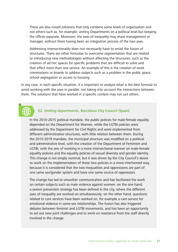There are also mixed solutions that only combine some levels of organisation and not others such as, for example, uniting Departments on a political level but keeping the offices separate. Moreover, the axes of inequality may share management or manager, without there having been an integration process of the two axes.

Addressing intersectionality does not necessarily have to entail the fusion of structures. There are other formulae to overcome segmentation that are related to introducing new methodologies without affecting the structures, such as the creation of ad hoc spaces for specific problems that are difficult to solve and that affect more than one service. An example of this is the creation of work commissions or boards to address subjects such as a problem in the public space, school segregation or access to housing.

In any case, in each specific situation, it is important to analyse what is the best formula to avoid working with the axes in parallel, not taking into account the interactions between them. The solutions that have worked in a specific context may not suit others.

#### **E2. Uniting departments, Barcelona City Council (Spain)**

In the 2010-2015 political mandate, the public policies for male-female equality depended on the Department for Women, while the LGTBI policies were addressed by the Department for Civil Rights and were implemented from different administrative structures, with little relation between them. During the 2015-2019 mandate, the municipal structure was modified on a political and administrative level, with the creation of the Department of Feminism and LGTBI, with the aim of working in a more intersectional manner on male-female equality policies and the equality policies of sexual diversity and gender identity. This change is not simply nominal, but it was driven by the City Council's desire to work on the implementation of these two policies in a more intertwined way, because it is considered that the two inequalities and oppressions are part of one same sex/gender system and have one same source of oppression.

The change has led to smoother communication and has facilitated the work on certain subjects such as male violence against women: on the one hand, a sexism prevention strategy has been defined in the city, where the different axes of inequality are worked on simultaneously; on the other hand, questions related to care services have been worked on, for example a care service for emotional violence in same-sex relationships. The fusion has also triggered debates between feminist and LGTBI movements, and has been an opportunity to set out new joint challenges and to work on resistance from the staff directly involved in the change.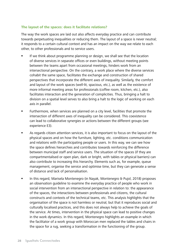#### **The layout of the spaces: does it facilitate relations?**

The way the work spaces are laid out also affects everyday practice and can contribute towards perpetuating inequalities or reducing them. The layout of a space is never neutral; it responds to a certain cultural context and has an impact on the way we relate to each other, to other professionals and to service users.

- If we think about programme planning or design, we shall see that the location of diverse services in separate offices or even buildings, without meeting points between the teams apart from occasional meetings, hinders work from an intersectional perspective. On the contrary, a work place where the diverse services cohabit the same space, facilitates the exchange and construction of shared perspectives that incorporate the different axes of inequality. Similarly, the comfort and layout of the work spaces (well-lit, spacious, etc.), as well as the existence of more informal meeting areas for professionals (coffee room, kitchen, etc.), also facilitates interaction and the generation of complicities. Thus, bringing a halt to division on a spatial level serves to also bring a halt to the logic of working on each axis in parallel.
- **Furthermore, when services are planned on a city level, facilities that promote the** intersection of different axes of inequality can be considered. This coexistence can lead to collaborative synergies or actions between the different groups (see experience E3).
- As regards citizen attention services, it is also important to focus on the layout of the physical spaces and on how the furniture, lighting, etc. conditions communication and relations with the participating people or users. In this way, we can see how the space defines hierarchies and contributes towards reinforcing the difference between municipal staff and service users. The situation of the spaces (if they are compartmentalised or open plan, dark or bright, with tables or physical barriers) can also contribute to increasing this hierarchy. Elements such as, for example, queue management, organise the service and optimise time, but they can generate a sense of distance and lack of personalisation.
- In this regard, Marisela Montenegro (in Nayak, Montenegro & Pujol, 2018) proposes an observation guideline to examine the everyday practice of people who work in social intervention from an intersectional perspective in relation to: the appearance of the spaces, the interactions between professionals and citizens, the cultural constructs and contexts of the technical teams, etc. This analysis highlights that the organisation of the space is not harmless or neutral, but that it reproduces social and culturally localised practices, and this does not always help to achieve the goals of the service. At times, intervention in the physical space can lead to positive changes in the work dynamics. In this regard, Montenegro highlights an example in which the facilitator of a work group with Moroccan men replaced the tables and chairs in the space for a rug, seeking a transformation in the functioning of the group.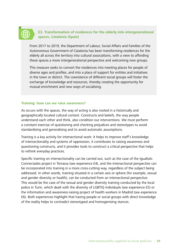#### **E3. Transformation of residences for the elderly into intergenerational spaces, Catalonia (Spain)**

From 2017 to 2019, the Department of Labour, Social Affairs and Families of the Autonomous Government of Catalonia has been transforming residences for the elderly all across the territory into cultural associations, with a view to affording these spaces a more intergenerational perspective and welcoming new groups.

This measure seeks to convert the residences into meeting places for people of diverse ages and profiles, and into a place of support for entities and initiatives in the town or district. The coexistence of different social groups will foster the exchange of knowledge and resources, thereby creating the opportunity for mutual enrichment and new ways of socialising.

#### **Training: how can we raise awareness?**

As occurs with the spaces, the way of acting is also rooted in a historically and geographically located cultural context. Constructs and beliefs, the way people understand each other and think, also condition our interventions. We must perform a constant exercise of questioning and checking prejudices and stereotypes to avoid standardising and generalising and to avoid automatic assumptions.

Training is a key activity for intersectional work: it helps to improve staff's knowledge of intersectionality and systems of oppression, it contributes to raising awareness and questioning constructs, and it provides tools to construct a critical perspective that helps to rethink everyday practices.

Specific training on intersectionality can be carried out, such as the case of the Igualtats Connectades project in Terrassa (see experience E4), and the intersectional perspective can be incorporated into training in a more cross-cutting way, regardless of the subject being addressed. In other words, training situated in a certain axis or sphere (for example, sexual and gender diversity or health), can be conducted from an intersectional perspective. This would be the case of the sexual and gender diversity training conducted by the local police in Turin, which dealt with the diversity of LGBTIQ individuals (see experience E5) or the information and awareness-raising project of health workers in Madrid (see experience E6). Both experiences highlight that having people or social groups with direct knowledge of the reality helps to contradict stereotyped and homogenising stances.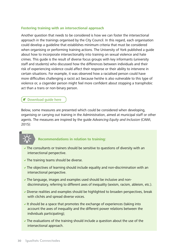#### **Fostering training with an intersectional approach**

Another question that needs to be considered is how we can foster the intersectional approach in the trainings organised by the City Council. In this regard, each organisation could develop a guideline that establishes minimum criteria that must be considered when organising or performing training actions. The University of York published a guide about how to incorporate intersectionality into training on sexual violence and hate crimes. This guide is the result of diverse focus groups with key informants (university staff and students) who discussed how the differences between individuals and their risk of experiencing violence could affect their response or their ability to intervene in certain situations. For example, it was observed how a racialised person could have more difficulties challenging a racist act because he/she is also vulnerable to this type of violence or, a cisgender person might feel more confident about stopping a transphobic act than a trans or non-binary person.

#### Download guide here

Below, some measures are presented which could be considered when developing, organising or carrying out training in the Administration, aimed at municipal staff or other agents. The measures are inspired by the quide Advancina Equity and Inclusion (CAWI, 2015):

#### **Recommendations in relation to training:**

- $\triangledown$  The consultants or trainers should be sensitive to questions of diversity with an intersectional perspective.
- $\blacktriangleright$  The training teams should be diverse.
- $\triangledown$  The objectives of learning should include equality and non-discrimination with an intersectional perspective.
- $\triangledown$  The language, images and examples used should be inclusive and nondiscriminatory, referring to different axes of inequality (sexism, racism, ableism, etc.).
- $\triangledown$  Diverse realities and examples should be highlighted to broaden perspectives, break with clichés and spread diverse voices.
- It should be a space that promotes the exchange of experiences (taking into account the axes of inequality and the different power relations between the individuals participating);
- $\vee$  The evaluations of the training should include a question about the use of the intersectional approach.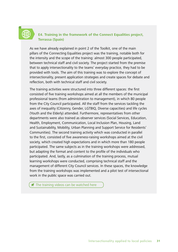### **E4. Training in the framework of the Connect Equalities project, Terrassa (Spain)**

As we have already explained in point 2 of the Toolkit, one of the main pillars of the Connecting Equalities project was the training, notable both for the intensity and the scope of the training: almost 300 people participated, between technical staff and civil society. The project started from the premise that to apply intersectionality to the teams' everyday practice, they had to be provided with tools. The aim of this training was to explore the concept of intersectionality, present application strategies and create spaces for debate and reflection, both with technical staff and civil society.

The training activities were structured into three different spaces: the first consisted of five training workshops aimed at all the members of the municipal professional teams (from administration to management), in which 80 people from the City Council participated. All the staff from the services tackling the axes of inequality (Citizenry, Gender, LGTBIQ, Diverse capacities) and life cycles (Youth and the Elderly) attended. Furthermore, representatives from other departments were also trained as observer services (Social Services, Education, Health, Employment, Communication, Local Inclusion Plan, Housing, Land and Sustainability, Mobility, Urban Planning and Support Service for Residents' Communities). The second training activity which was conducted in parallel to the first, consisted of five awareness-raising workshops aimed at the civil society, which created high expectations and in which more than 180 people participated. The same subjects as in the training workshops were addressed, but adapting the format and content to the profile of the individuals who participated. And, lastly, as a culmination of the training process, mutual learning workshops were conducted, comprising technical staff and the management of different City Council services. In these spaces, the knowledge from the training workshops was implemented and a pilot test of intersectional work in the public space was carried out.

[The training videos can be watched here](http://igualtatsconnect.cat/en/training-resources/)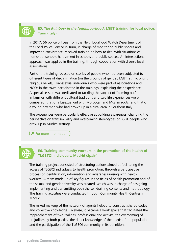## **E5. The Rainbow in the Neighbourhood. LGBT training for local police, Turin (Italy)**

In 2017, 56 police officers from the Neighbourhood Watch Department of the Local Police Service in Turin, in charge of monitoring public spaces and improving coexistence, received training on how to deal with situations of homo-transphobic harassment in schools and public spaces. An intersectional approach was applied in the training, through cooperation with diverse local associations.

Part of the training focused on stories of people who had been subjected to different types of discrimination (on the grounds of gender, LGBT, ethnic origin, religious beliefs). Transsexual individuals who were part of associations and NGOs in the town participated in the trainings, explaining their experience. A special session was dedicated to tackling the subject of "coming out" in families with different cultural traditions and two life experiences were compared: that of a bisexual girl with Moroccan and Muslim roots, and that of a young gay man who had grown up in a rural area in Southern Italy.

The experiences were particularly effective at building awareness, changing the perspective on transsexuality and overcoming stereotypes of LGBT people who grow up in Muslim settings.

**T** [For more information](http://www.comune.torino.it/politichedigenere/lgbt/lgbt_formazione/lgbt_dipcom/index.shtml)



#### **E6. Training community workers in the promotion of the health of TLGBTQI individuals, Madrid (Spain)**

The training project consisted of structuring actions aimed at facilitating the access of TLGBQI individuals to health promotion, through a participative process of identification, information and awareness-raising with health workers. A team made up of key figures in the fields of health promotion and of the sexual and gender diversity was created, which was in charge of designing, implementing and transmitting both the self-training contents and methodology. The training activities were conducted through Community Health Centres in Madrid.

The mixed makeup of the network of agents helped to construct shared codes and collective knowledge. Likewise, it became a work space that facilitated the rapprochement of two realities, professional and activist, the overcoming of prejudices by both parties, the direct knowledge of the needs of the population and the participation of the TLGBQI community in its definition.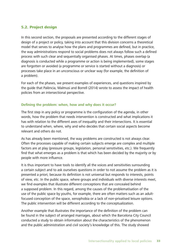#### 5.2. Project design

In this second section, the proposals are presented according to the different stages of design of a project or policy, taking into account that this division concerns a theoretical model that serves to analyse how the plans and programmes are defined, but in practice, the way administrations respond to social problems does not always follow such a defined process with such clear and sequentially organised phases. At times, phases overlap (a diagnosis is conducted while a programme or action is being implemented), some stages are forgotten or avoided (a programme or service is started without a diagnosis) or processes take place in an unconscious or unclear way (for example, the definition of a problem).

For each of the phases, we present examples of experiences, and questions inspired by the guide that Palència, Malmusi and Borrell (2014) wrote to assess the impact of health policies from an intersectional perspective.

#### **Defining the problem: when, how and why does it occur?**

The first step in any policy or programme is the configuration of the agenda, in other words, how the problem that needs intervention is constructed and what implications it has with relation to the different axes of inequality and their intersections. It is essential to understand when, where, why and who decides that certain social aspects become relevant and others do not.

As has already been mentioned, the way problems are constructed is not always clear. Often the processes capable of making certain subjects emerge are complex and multiple factors are at play (pressure groups, legislation, personal sensitivities, etc.). We frequently find that what emerges as a problem is that which has been decided by the majority or by people with more influence.

It is thus important to have tools to identify all the voices and sensitivities surrounding a certain subject and to ask ourselves questions in order to not assume the problem as it is presented a priori, because its definition is not universal but responds to interests, points of view, etc. In the public space, where groups and individuals with diverse interests meet, we find examples that illustrate different conceptions that are concealed behind a supposed problem. In this regard, among the causes of the problematisation of the use of the public space by youths, for example, there are often matters such as an adultfocused conception of the space, xenophobia or a lack of non-privatised leisure options. The public intervention will be different according to the conceptualization.

Another example that illustrates the importance of the definition of the problem can be found in the subject of arranged marriages, about which the Barcelona City Council conducted a study to obtain information about the characteristics of the phenomenon and the public administration and civil society's knowledge of this. The study showed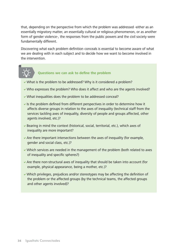that, depending on the perspective from which the problem was addressed -either as an essentially migratory matter, an essentially cultural or religious phenomenon, or as another form of gender violence-, the responses from the public powers and the civil society were fundamentally different.

Discovering what each problem definition conceals is essential to become aware of what we are dealing with in each subject and to decide how we want to become involved in the intervention.



#### **Questions we can ask to define the problem**

- $\vee$  What is the problem to be addressed? Why is it considered a problem?
- $\vee$  Who expresses the problem? Who does it affect and who are the agents involved?
- $\vee$  What inequalities does the problem to be addressed conceal?
- Is the problem defined from different perspectives in order to determine how it affects diverse groups in relation to the axes of inequality (technical staff from the services tackling axes of inequality, diversity of people and groups affected, other agents involved, etc.)?
- $\triangledown$  Bearing in mind the context (historical, social, territorial, etc.), which axes of inequality are more important?
- $\blacktriangleright$  Are there important intersections between the axes of inequality (for example, gender and social class, etc.)?
- $\blacktriangleright$  Which services are needed in the management of the problem (both related to axes of inequality and specific spheres?)
- $\triangledown$  Are there non-structural axes of inequality that should be taken into account (for example, physical appearance, being a mother, etc.)?
- $\vee$  Which privileges, prejudices and/or stereotypes may be affecting the definition of the problem or the affected groups (by the technical teams, the affected groups and other agents involved)?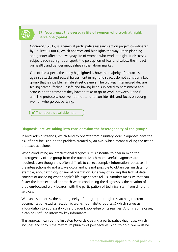### **E7. Nocturnas: the everyday life of women who work at night, Barcelona (Spain)**

Nocturnas (2017) is a feminist participative research-action project coordinated by Col·lectiu Punt 6, which analyses and highlights the way urban planning and gender affect the everyday life of women who work at night. It discusses subjects such as night transport, the perception of fear and safety, the impact on health, and gender inequalities in the labour market.

One of the aspects the study highlighted is how the majority of protocols against attacks and sexual harassment in nightlife spaces do not consider a key group that is invisible: female street cleaners. The workers interviewed declare feeling scared, feeling unsafe and having been subjected to harassment and attacks on the transport they have to take to go to work between 5 and 6 am. The protocols, however, do not tend to consider this and focus on young women who go out partying.

 $\blacktriangleright$  [The report is available here](https://issuu.com/punt6/docs/nocturnas_eng)

#### **Diagnosis: are we taking into consideration the heterogeneity of the group?**

In local administrations, which tend to operate from a unitary logic, diagnoses have the risk of only focusing on the problem created by an axis, which means fuelling the fiction that axes act alone.

When conducting an intersectional diagnosis, it is essential to bear in mind the heterogeneity of the group from the outset. Much more careful diagnoses are required, even though it is often difficult to collect complex information, because all the intersections do not always occur and it is not possible to obtain certain data, for example, about ethnicity or sexual orientation. One way of solving this lack of data consists of analysing what people's life experiences tell us. Another measure that can foster the intersectional approach when conducting the diagnosis is the creation of problem-focused work boards, with the participation of technical staff from different services.

We can also address the heterogeneity of the group through researching reference documentation (studies, academic works, journalistic reports...) which serves as a foundation to address it with a broader knowledge of its realities. And, in some cases, it can be useful to interview key informants.

This approach can be the first step towards creating a participative diagnosis, which includes and shows the maximum plurality of perspectives. And, to do it, we must be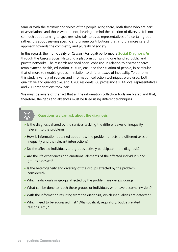familiar with the territory and voices of the people living there, both those who are part of associations and those who are not, bearing in mind the criterion of diversity. It is not so much about turning to speakers who talk to us as representatives of a certain group; rather, it is about seeking specific and unique contributions that afford a more careful approach towards the complexity and plurality of society.

In this regard, the municipality of Cascais (Portugal) performed a **[Social Diagnosis](https://www.cascais.pt/sub-area/diagnostico-social-de-cascais)** through the Cascais Social Network, a platform comprising one hundred public and private networks. The research analysed social cohesion in relation to diverse spheres (employment, health, education, culture, etc.) and the situation of people, in particular that of more vulnerable groups, in relation to different axes of inequality. To perform this study a variety of sources and information collection techniques were used, both qualitative and quantitative, and 1,700 residents, 80 professionals, 14 local representatives and 200 organisations took part.

We must be aware of the fact that all the information collection tools are biased and that, therefore, the gaps and absences must be filled using different techniques.



## **Questions we can ask about the diagnosis**

- If is the diagnosis shared by the services tackling the different axes of inequality relevant to the problem?
- $\blacktriangleright$  How is information obtained about how the problem affects the different axes of inequality and the relevant intersections?
- $\triangleright$  Do the affected individuals and groups actively participate in the diagnosis?
- $\triangledown$  Are the life experiences and emotional elements of the affected individuals and groups assessed?
- If is the heterogeneity and diversity of the groups affected by the problem considered?
- $\vee$  Which individuals or groups affected by the problem are we excluding?
- $\vee$  What can be done to reach these groups or individuals who have become invisible?
- $\vee$  With the information resulting from the diagnosis, which inequalities are detected?
- $\vee$  Which need to be addressed first? Why (political, regulatory, budget-related reasons, etc.)?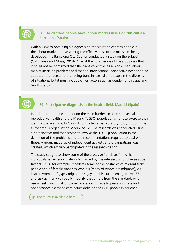

#### **E8. Do all trans people have labour market insertion difficulties? Barcelona (Spain)**

With a view to obtaining a diagnosis on the situation of trans people in the labour market and assessing the effectiveness of the measures being developed, the Barcelona City Council conducted a study on the subject (Coll-Planas and Missé, 2018). One of the conclusions of the study was that it could not be confirmed that the trans collective, as a whole, had labour market insertion problems and that an intersectional perspective needed to be adopted to understand that being trans in itself did not explain the diversity of situations, but it must include other factors such as gender, origin, age and health status.

### **E9. Participative diagnosis in the health field, Madrid (Spain)**

In order to determine and act on the main barriers in access to sexual and reproductive health and the Madrid TLGBQI population's right to exercise their identity, the Madrid City Council conducted an exploratory study through the autonomous organisation Madrid Salud. The research was conducted using a participative tool that served to involve the TLGBQI population in the definition of the problems and the recommendations required to deal with these. A group made up of independent activists and organisations was created, which actively participated in the research design.

The study sought to show some of the places or "enclaves" in which individuals' experience is strongly marked by the intersection of diverse social factors. Thus, for example, it collects some of the obstacles of migrant trans people and of female trans sex workers (many of whom are migrants); cis lesbian women of gypsy origin or cis gay and bisexual men aged over 55 and cis gay men with bodily mobility that differs from the standard, who use wheelchairs. In all of these, reference is made to precariousness and socioeconomic class as core issues defining the LGBTphobic experience.

 $\blacktriangleright$  [The study is available here](www.generoydrogodependencias.org/wp-content/uploads/2018/04/TLGBQI.pdf)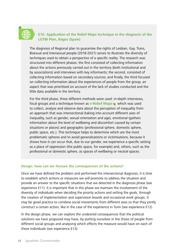### **E10. Application of the Relief Maps technique in the diagnosis of the LGTBI Plan, Bages (Spain)**

The diagnosis of Regional plan to guarantee the rights of Lesbian, Gay, Trans, Bisexual and Intersexual people (2018-2021) serves to illustrate the diversity of techniques used to obtain a perspective of a specific reality. The research was structured into different phases: the first consisted of collecting information about the actions previously carried out in the territory (both institutional and by associations) and interviews with key informants; the second, consisted of collecting information based on secondary sources; and finally, the third focused on collecting information about the experiences of people from the group, an aspect that was prioritised on account of the lack of studies conducted and the little data available in the territory.

For the third phase, three different methods were used: in-depth interviews, focal groups and a technique known as **[e-Relief Maps](http://www.reliefmaps.cat)** which was used to collect, analyse and observe data about the perception of inequality from an approach that was intersectional (taking into account different axes of inequality, such as gender, sexual orientation and age), emotional (gathers information about the level of wellbeing and discomfort caused by certain situations or places) and geographic (professional sphere, domestic sphere, public space, etc.). This technique helps to determine which are the most problematic spheres and to avoid generalisations or victimisations, because it shows how it can occur that, due to our gender, we experience a specific setting as a place of oppression (the public space, for example) and, others, such as the professional or domestic sphere, as spaces of wellbeing or neutral spaces.

#### **Design: how can we foresee the consequences of the actions?**

Once we have defined the problem and performed the intersectional diagnosis, it is time to establish which actions or measures we will promote to address the situation and provide an answer to the specific situations that we detected in the diagnosis phase (see experience E11). It is important that in this phase we maintain the involvement of the diversity of individuals when deciding the priority actions and setting the goals, through the creation of implementation and supervision boards and occasional work groups. It may be good practice to combine social movements from different axes so that they jointly construct a certain action, like in the case of the experience in Turin (see experience E12).

In the design phase, we can explore the undesired consequences that the political solutions we have proposed may have, by putting ourselves in the shoes of people from different social groups and analysing which effects the measure would have on each of these individuals (see experience E13).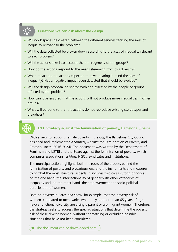## **Questions we can ask about the design**

- $\vee$  Will work spaces be created between the different services tackling the axes of inequality relevant to the problem?
- $\vee$  Will the data collected be broken down according to the axes of inequality relevant to each problem?
- $\vee$  Will the actions take into account the heterogeneity of the groups?
- $\blacktriangleright$  How do the actions respond to the needs stemming from this diversity?
- $\vee$  What impact are the actions expected to have, bearing in mind the axes of inequality? Has a negative impact been detected that should be avoided?
- $\vee$  Will the design proposal be shared with and assessed by the people or groups affected by the problem?
- $\blacktriangleright$  How can it be ensured that the actions will not produce more inequalities in other groups?
- $\vee$  What will be done so that the actions do not reproduce existing stereotypes and prejudices?

## **E11. Strategy against the feminisation of poverty, Barcelona (Spain)**

With a view to reducing female poverty in the city, the Barcelona City Council designed and implemented a Strategy Against the Feminisation of Poverty and Precariousness (2016-2024). The document was written by the Department of Feminism and LGTBI and the Board against the feminisation of poverty, which comprises associations, entities, NGOs, syndicates and institutions.

The municipal action highlights both the roots of the process behind the feminisation of poverty and precariousness, and the instruments and measures to combat the most structural aspects. It includes two cross-cutting principles: on the one hand, the intersectionality of gender with other categories of inequality and, on the other hand, the empowerment and socio-political participation of women.

Data on poverty in Barcelona show, for example, that the poverty risk of women, compared to men, varies when they are more than 65 years of age, have a functional diversity, are a single parent or are migrant women. Therefore, the strategy seeks to address the specific situations that determine the poverty risk of these diverse women, without stigmatising or excluding possible situations that have not been considered.

The document can be downloaded here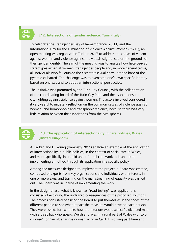## **E12. Intersections of gender violence, Turin (Italy)**

To celebrate the Transgender Day of Remembrance (20/11) and the International Day for the Elimination of Violence Against Women (25/11), an open meeting was organised in Turin in 2017 to address the causes of violence against women and violence against individuals stigmatised on the grounds of their gender identity. The aim of the meeting was to analyse how heterosexist stereotypes aimed at women, transgender people and, in more general terms, all individuals who fall outside the cis/heterosexual norm, are the base of the pyramid of hatred. The challenge was to overcome one's own specific identity based on one axis and to adopt an intersectional perspective.

The initiative was promoted by the Turin City Council, with the collaboration of the coordinating board of the Turin Gay Pride and the associations in the city fighting against violence against women. The actors involved considered it very useful to initiate a reflection on the common causes of violence against women, and homophobic and transphobic violence, because there was very little relation between the associations from the two spheres.

### **E13. The application of intersectionality in care policies, Wales (United Kingdom)**

A. Parken and H. Young (Hankvisty 2011) analyse an example of the application of intersectionality in public policies, in the context of social care in Wales, and more specifically, in unpaid and informal care work. It is an attempt at implementing a method through its application in a specific policy.

Among the measures designed to implement the project, a Board was created, composed of experts from key organisations and individuals with interests in one or more axes, and training on the mainstreaming of equality was carried out. The Board was in charge of implementing the work.

In the design phase, what is known as "road testing" was applied: this consisted of exploring the undesired consequences of the proposed solutions. The process consisted of asking the Board to put themselves in the shoes of the different people to see what impact the measure would have on each person. They were asked, for example, how the measure would affect "a divorced man, with a disability, who speaks Welsh and lives in a rural part of Wales with two children", or "an older single woman living in Cardiff, working part-time and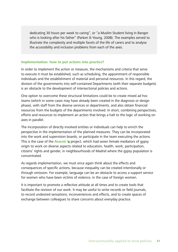dedicating 30 hours per week to caring", or "a Muslim Student living in Bangor who is looking after his father" (Parken & Young, 2008). The examples served to illustrate the complexity and multiple facets of the life of carers and to analyse the accessibility and inclusion problems from each of the axes.

#### **Implementation: how to put actions into practice?**

In order to implement the action or measure, the mechanisms and criteria that serve to execute it must be established, such as scheduling, the appointment of responsible individuals and the establishment of material and personal resources. In this regard, the division of the governments into self-contained Departments (with their separate budgets) is an obstacle to the development of intersectional policies and actions.

One option to overcome these structural limitations could be to create mixed ad hoc teams (which in some cases may have already been created in the diagnosis or design phase), with staff from the diverse services or departments, and also obtain financial resources from the budgets of the departments involved. In short, combining perspectives, efforts and resources to implement an action that brings a halt to the logic of working on axes in parallel.

The incorporation of directly involved entities or individuals can help to enrich the perspective in the implementation of the planned measures. They can be incorporated into the work and supervision boards, or participate in the team executing the actions. This is the case of the **[Aracné](www.asociacionbarro.org.es/artemisa/) Representation** had seven female mediators of gypsy origin to work on diverse aspects related to education, health, work, participation, citizens' rights and gender, in neighbourhoods of Madrid where the gypsy population is concentrated.

As regards implementation, we must once again think about the effects and consequences of specific actions, because inequality can be created intentionally or through omission. For example, language can be an obstacle to access a support service for women who have been victims of violence, in the case of foreign women.

It is important to promote a reflective attitude at all times and to create tools that facilitate the revision of our work. It may be useful to write records or field journals, to record undesired sensations, inconveniences and effects, and to create spaces of exchange between colleagues to share concerns about everyday practice.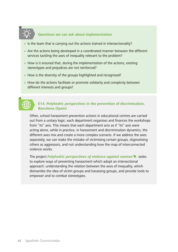

## **Questions we can ask about implementation**

- Is the team that is carrying out the actions trained in intersectionality?
- $\blacktriangleright$  Are the actions being developed in a coordinated manner between the different services tackling the axes of inequality relevant to the problem?
- $\blacktriangleright$  How is it ensured that, during the implementation of the actions, existing stereotypes and prejudices are not reinforced?
- $\blacktriangleright$  How is the diversity of the groups highlighted and recognised?
- $\blacktriangleright$  How do the actions facilitate or promote solidarity and complicity between different interests and groups?



### **E14. Polyhedric perspectives in the prevention of discrimination, Barcelona (Spain)**

Often, school harassment prevention actions in educational centres are carried out from a unitary logic: each department organises and finances the workshops from "its" axis. This means that each department acts as if "its" axis were acting alone, while in practice, in harassment and discrimination dynamics, the different axes mix and create a more complex scenario. If we address the axes separately, we can make the mistake of victimising certain groups, stigmatising others as aggressors, and not understanding how the map of interconnected violence works.

The project *[Polyhedric perspectives of violence against women](http://miradespoliedriques.cat/)* **x** seeks to explore ways of preventing harassment which adopt an intersectional approach: understanding the relation between the axes of inequality, which dismantles the idea of victim groups and harassing groups, and provide tools to empower and to combat stereotypes.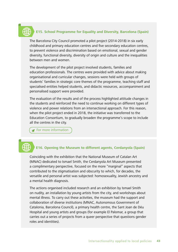## **E15. School Programme for Equality and Diversity, Barcelona (Spain)**

The Barcelona City Council promoted a pilot project (2014-2018) in six early childhood and primary education centres and five secondary education centres, to prevent violence and discrimination based on emotional, sexual and gender diversity, functional diversity, diversity of origin and culture and the inequalities between men and women.

The development of the pilot project involved students, families and education professionals. The centres were provided with advice about making organisational and curricular changes, sessions were held with groups of students' families in strategic core themes of the programme, teaching staff and specialised entities helped students, and didactic resources, accompaniment and personalised support were provided.

The evaluation of the results and of the process highlighted attitude changes in the students and reinforced the need to continue working on different types of violence and power relations from an intersectional approach. For this reason, when the pilot project ended in 2018, the initiative was transferred to the Education Consortium, to gradually broaden the programme's scope to include all the centres in the city.

 [For more information](https://igualtatidiversitat.edubcn.cat/)

#### **E16. Opening the Museum to different agents, Cerdanyola (Spain)**

Coinciding with the exhibition that the National Museum of Catalan Art (MNAC) dedicated to Ismael Smith, the Cerdanyola Art Museum presented a complimentary perspective, focused on the more "marginal" aspects that contributed to the stigmatisation and obscurity to which, for decades, the versatile and personal artist was subjected: homosexuality, Jewish ancestry and a mental health diagnosis.

The actions organised included research and an exhibition by Ismael Smith on nudity, an installation by young artists from the city, and workshops about mental illness. To carry out these activities, the museum had the support and collaboration of diverse institutions (MNAC, Autonomous Government of Catalonia, Barcelona Council), a primary health centre, the Sant Joan de Déu Hospital and young artists and groups (for example El Palomar, a group that carries out a series of projects from a queer perspective that questions gender roles and identities).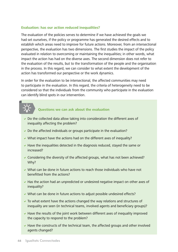#### **Evaluation: has our action reduced inequalities?**

The evaluation of the policies serves to determine if we have achieved the goals we had set ourselves, if the policy or programme has generated the desired effects and to establish which areas need to improve for future actions. Moreover, from an intersectional perspective, the evaluation has two dimensions. The first studies the impact of the policy evaluated in relation to overcoming or maintaining the inequalities; in other words, what impact the action has had on the diverse axes. The second dimension does not refer to the evaluation of the results, but to the transformation of the people and the organisation in the process. In this regard, we can consider to what extent the development of the action has transformed our perspective or the work dynamics.

In order for the evaluation to be intersectional, the affected communities may need to participate in the evaluation. In this regard, the criteria of heterogeneity need to be considered so that the individuals from the community who participate in the evaluation can identify blind spots in our intervention.

#### **Questions we can ask about the evaluation**

- $\triangleright$  Do the collected data allow taking into consideration the different axes of inequality affecting the problem?
- $\triangleright$  Do the affected individuals or groups participate in the evaluation?
- $\vee$  What impact have the actions had on the different axes of inequality?
- $\blacktriangleright$  Have the inequalities detected in the diagnosis reduced, stayed the same or increased?
- $\triangleright$  Considering the diversity of the affected groups, what has not been achieved? Why?
- $\vee$  What can be done in future actions to reach those individuals who have not benefitted from the actions?
- $\blacktriangleright$  Has the action had an unpredicted or undesired negative impact on other axes of inequality?
- $\vee$  What can be done in future actions to adjust possible undesired effects?
- $\triangledown$  To what extent have the actions changed the way relations and structures of inequality are seen (in technical teams, involved agents and beneficiary groups)?
- $\blacktriangleright$  Have the results of the joint work between different axes of inequality improved the capacity to respond to the problem?
- $\blacktriangleright$  Have the constructs of the technical team, the affected groups and other involved agents changed?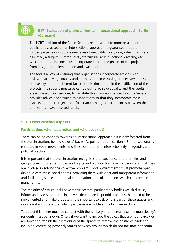### **E17. Evaluation of projects from an intersectional approach, Berlin (Germany)**

The LGBTI division of the Berlin Senate created a tool to monitor allocated public funds, based on an intersectional approach to guarantee that the funded projects incorporate new axes of inequality. Every year, when grants are allocated, a subject is introduced (intercultural skills, functional diversity, etc.) which the organisations must incorporate into all the phases of the project, from design to implementation and evaluation.

The tool is a way of ensuring that organisations incorporate actions with a view to achieving equality and, at the same time, raising entities' awareness of diversity and the different factors of discrimination. In the justification of the projects, the specific measures carried out to achieve equality and the results are explained. Furthermore, to facilitate this change in perspective, the Senate provides advice and training to associations so that they incorporate these aspects into their projects and foster an exchange of experiences between the entities that have received funds.

### 5.3. Cross-cutting aspects

#### **Participation: who has a voice, and who does not?**

There can be no changes towards an intersectional approach if it is only fostered from the Administration, behind citizens' backs. As pointed out in section 4.3, intersectionality is rooted in social movements, and these can promote intersectionality in agendas and political practice.

It is important that the Administration recognises the experience of the entities and groups coming together to demand rights and working for social inclusion, and that they are involved in solving the collective problems. Local governments must promote open dialogue with these social agents, providing them with clear and transparent information, and facilitating spaces for mutual coordination and collaboration, which can come in many forms.

The majority of city councils have stable sectoral participatory bodies which discuss, inform and assess municipal initiatives, detect needs, prioritise actions that need to be implemented and make proposals. It is important to ask who is part of these spaces and who is not and, therefore, which problems are visible and which are excluded.

To detect this, there must be contact with the territory and the reality of the municipality's residents must be known. Often, if we want to include the voices that are not heard, we are forced to rethink the functioning of the spaces to remove the obstacles hindering inclusion: correcting power dynamics between groups which do not facilitate horizontal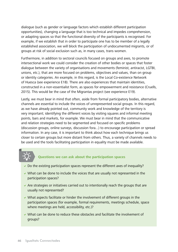dialogue (such as gender or language factors which establish different participation opportunities), changing a language that is too technical and impedes comprehension, or adapting spaces so that the functional diversity of the participants is recognised. For example, if we establish that in order to participate one has to be member of a legally established association, we will block the participation of undocumented migrants, or of groups at risk of social exclusion such as, in many cases, trans women.

Furthermore, in addition to sectoral councils focused on groups and axes, to promote intersectional work we could consider the creation of other bodies or spaces that foster dialogue between the variety of organisations and movements (feminist, antiracist, LGTBI, unions, etc.), that are more focused on problems, objectives and values, than on group or identity categories. An example, in this regard, is the Local Co-existence Network of Huesca (see experience E18). There are also experiences that maintain identities, constructed in a non-essentialist form, as spaces for empowerment and resistance (Cruells, 2015). This would be the case of the Migrantas project (see experience E19).

Lastly, we must bear in mind that often, aside from formal participatory bodies, alternative channels are essential to include the voices of unrepresented social groups. In this regard, as we have already pointed out, community work and knowledge of the territory is very important; identifying the different voices by visiting squares and informal meeting points, bars and markets, for example. We must bear in mind that the communicative and relation strategies need to be segmented and focused on specific problems (discussion groups, online surveys, discussion fora...) to encourage participation or spread information. In any case, it is important to think about how each technique brings us closer to certain groups but more distant from others. Thus, a variety of channels needs to be used and the tools facilitating participation in equality must be made available.

#### **Questions we can ask about the participation spaces**

- $\triangledown$  Do the existing participation spaces represent the different axes of inequality?
- $\vee$  What can be done to include the voices that are usually not represented in the participation spaces?
- $\blacktriangleright$  Are strategies or initiatives carried out to intentionally reach the groups that are usually not represented?
- $\vee$  What aspects facilitate or hinder the involvement of different groups in the participation spaces (for example, formal requirements, meetings schedule, space where meetings are held, accessibility, etc.)?
- $\vee$  What can be done to reduce these obstacles and facilitate the involvement of groups?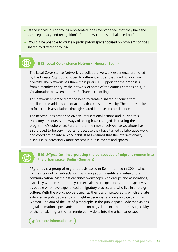- $\vee$  Of the individuals or groups represented, does everyone feel that they have the same legitimacy and recognition? If not, how can this be balanced out?
- $\vee$  Would it be possible to create a participatory space focused on problems or goals shared by different groups?



#### **E18. Local Co-existence Network, Huesca (Spain)**

The Local Co-existence Network is a collaborative work experience promoted by the Huesca City Council open to different entities that want to work on diversity. The Network has three main pillars: 1. Support for the proposals from a member entity by the network or some of the entities comprising it; 2. Collaboration between entities; 3. Shared scheduling.

This network emerged from the need to create a shared discourse that highlights the added value of actions that consider diversity. The entities unite to foster their associations through shared interests in co-existence.

The network has organised diverse intersectional actions and, during this trajectory, discourses and ways of acting have changed, increasing the programme's coherence. Furthermore, the impact between associations has also proved to be very important, because they have turned collaborative work and coordination into a work habit. It has ensured that the intersectionality discourse is increasingly more present in public events and spaces.



#### **E19. Migrantas: incorporating the perspective of migrant women into the urban space, Berlin (Germany)**

Migrantas is a group of migrant artists based in Berlin, formed in 2004, which focuses its work on subjects such as immigration, identity and intercultural communication. Migrantas organises workshops with groups and associations, especially women, so that they can explain their experiences and perspectives as people who have experienced a migratory process and who live in a foreign culture. With the workshop participants, they design pictographs which are later exhibited in public spaces to highlight experiences and give a voice to migrant women. The aim of the use of pictographs in the public space –whether via ads, digital animations, postcards or prints on bags- is to incorporate the subjectivity of the female migrant, often rendered invisible, into the urban landscape.

For more information see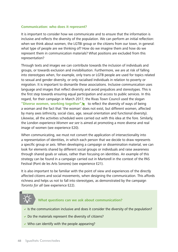#### **Communication: who does it represent?**

It is important to consider how we communicate and to ensure that the information is inclusive and reflects the diversity of the population. We can perform an initial reflection: when we think about women, the LGTBI group or the citizens from our town, in general: what type of people are we thinking of? How do we imagine them and how do we represent them in communication materials? What positions are excluded from this representation?

Through texts and images we can contribute towards the inclusion of individuals and groups, or towards exclusion and invisibilisation. Furthermore, we are at risk of falling into stereotypes when, for example, only trans or LGTB people are used for topics related to sexual and gender diversity, or only racialised individuals in relation to poverty or migration. It is important to dismantle these associations. Inclusive communication uses language and images that reflect diversity and avoid prejudices and stereotypes. This is the first step towards ensuring equal participation and access to public services. In this regard, for their campaign in March 2017, the Rivas Town Council used the slogan **["Diverse women, working together",](www.rivasciudad.es/portal/contenedor_ficha.jsp?seccion=s_fnot_d4_v1.jsp&contenido=31306&nivel=1400&tipo=8&codResi=1&language=es&codMenu=99&codMenuPN=36)** to reflect the diversity of ways of being a woman and the fact that 'the woman' does not exist, but different women, affected by many axes (ethnicity, social class, age, sexual orientation and functional diversity). Likewise, all the activities scheduled were carried out with this idea at the fore. Similarly, the London experience Women we see is aimed at promoting a more diverse and real image of women (see experience E20).

When communicating, we must not convert the application of intersectionality into a representation of identities, in which each person that we decide to draw represents a specific group or axis. When developing a campaign or dissemination material, we can look for elements shared by different social groups or individuals and raise awareness through shared goals or values, rather than focusing on identities. An example of this strategy can be found in a campaign carried out in Martorell in the context of the PAS Festival (Pont de les Arts Sonores) (see experience E21).

It is also important to be familiar with the point of view and experiences of the directly affected citizens and social movements, when designing the communication. This affords richness and helps us not to fall into stereotypes, as demonstrated by the campaign Toronto for all (see experience E22).

#### **What questions can we ask about communication?**

- If the communication inclusive and does it consider the diversity of the population?
- $\triangleright$  Do the materials represent the diversity of citizens?
- $\vee$  Who can identify with the people appearing?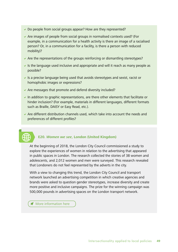- $\vee$  Do people from social groups appear? How are they represented?
- $\triangleright$  Are images of people from social groups in normalised contexts used? (For example, in a communication for a health activity is there an image of a racialised person? Or, in a communication for a facility, is there a person with reduced mobility)?
- $\blacktriangleright$  Are the representations of the groups reinforcing or dismantling stereotypes?
- $\triangleright$  Is the language used inclusive and appropriate and will it reach as many people as possible?
- $\triangleright$  Is a precise language being used that avoids stereotypes and sexist, racist or homophobic images or expressions?
- $\blacktriangleright$  Are messages that promote and defend diversity included?
- $\triangleright$  In addition to graphic representations, are there other elements that facilitate or hinder inclusion? (For example, materials in different languages, different formats such as Braille, DAISY or Easy Read, etc.).
- $\triangledown$  Are different distribution channels used, which take into account the needs and preferences of different profiles?

#### **E20. Women we see, London (United Kingdom)**

At the beginning of 2018, the London City Council commissioned a study to explore the experiences of women in relation to the advertising that appeared in public spaces in London. The research collected the stories of 38 women and adolescents, and 2,012 women and men were surveyed. This research revealed that Londoners do not feel represented by the adverts in the city.

With a view to changing this trend, the London City Council and transport network launched an advertising competition in which creative agencies and brands were asked to question gender stereotypes, increase diversity and create more positive and inclusive campaigns. The prize for the winning campaign was 500,000 pounds in advertising spaces on the London transport network.

 $\blacktriangleright$  [More information here](https://www.london.gov.uk/about-us/mayor-london/)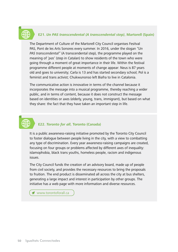## **E21. Un PAS transcendental (A transcendental step), Martorell (Spain)**

The Department of Culture of the Martorell City Council organises Fesitval PAS, Pont de les Arts Sonores every summer. In 2016, under the slogan "Un PAS transcendental" (A transcendental step), the programme played on the meaning of 'pas' (step in Catalan) to show residents of the town who were going through a moment of great importance in their life. Within the festival programme different people at moments of change appear: Neus is 87 years old and goes to university; Carla is 13 and has started secondary school; Pol is a feminist and trans activist; Chukwunonso left Biafra to live in Catalonia.

The communicative action is innovative in terms of the channel because it incorporates the message into a musical programme, thereby reaching a wider public, and in terms of content, because it does not construct the message based on identities or axes (elderly, young, trans, immigrant), but based on what they share: the fact that they have taken an important step in life.

## **E22. Toronto for all, Toronto (Canada)**

It is a public awareness-raising initiative promoted by the Toronto City Council to foster dialogue between people living in the city, with a view to combatting any type of discrimination. Every year awareness-raising campaigns are created, focusing on four groups or problems affected by different axes of inequality: islamophobia, black trans youths, homeless people, racism and indigenous issues.

The City Council funds the creation of an advisory board, made up of people from civil society, and provides the necessary resources to bring the proposals to fruition. The end product is disseminated all across the city at bus shelters, generating a large impact and interest in participation by other groups. The initiative has a web page with more information and diverse resources.

**Www.torontoforall.ca**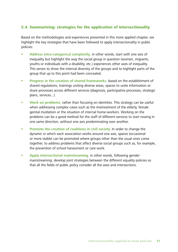#### 5.4. Summarising: strategies for the application of intersectionality

Based on the methodologies and experiences presented in this more applied chapter, we highlight the key strategies that have been followed to apply intersectionality in public policies:

- **Address intra-categorical complexity**, in other words, start with one axis of inequality but highlight the way the social group in question (women, migrants, youths or individuals with a disability, etc.) experiences other axes of inequality. This serves to show the internal diversity of the groups and to highlight parts of the group that up to this point had been concealed.
- **Progress in the creation of shared frameworks**, based on the establishment of shared regulations, trainings uniting diverse areas, spaces to unite information or share processes across different services (diagnosis, participative processes, strategic plans, services...).
- **Work on problems**, rather than focusing on identities. This strategy can be useful when addressing complex cases such as the mistreatment of the elderly, female genital mutilation or the situation of internal home-workers. Working on the problems can be a good method for the staff of different services to start rowing in one same direction, without one axis predominating over another.
- **Promote the creation of coalitions in civil society.** In order to change the dynamic in which each association works around one axis, spaces (occasional or more stable) can be promoted where groups other than the usual ones come together, to address problems that affect diverse social groups such as, for example, the prevention of school harassment or care work.
- **Apply intersectional mainstreaming**, in other words, following gender mainstreaming, develop joint strategies between the different equality policies so that all the fields of public policy consider all the axes and intersections.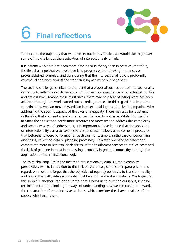# 6 **Final reflections**



To conclude the trajectory that we have set out in this Toolkit, we would like to go over some of the challenges the application of intersectionality entails.

It is a framework that has been more developed in theory than in practice; therefore, the first challenge that we must face is to progress without having references or pre-established formulae; and considering that the intersectional logic is profoundly contextual and goes against the standardising nature of public policies.

The second challenge is linked to the fact that a proposal such as that of intersectionality invites us to rethink work dynamics, and this can create resistance on a technical, political and activist level. Among these resistances, there may be a fear of losing what has been achieved through the work carried out according to axes. In this regard, it is important to define how we can move towards an intersectional logic and make it compatible with addressing the specific aspects of the axes of inequality. There may also be resistance in thinking that we need a level of resources that we do not have. While it is true that at times the application needs more resources or more time to address this complexity and seek new ways of addressing it, it is important to bear in mind that the application of intersectionality can also save resources, because it allows us to combine processes that beforehand were performed for each axis (for example, in the case of performing diagnoses, collecting data or planning processes). However, we need to detect and combat the more or less explicit desire to unite the different services to reduce costs and the lack of genuine interest in addressing inequality in greater complexity, through the application of the intersectional logic.

The third challenge lies in the fact that intersectionality entails a more complex perspective, which, in addition to the lack of references, can result in paralysis. In this regard, we must not forget that the objective of equality policies is to transform reality and, along this path, intersectionality must be a tool and not an obstacle. We hope that this Toolkit is another step on this path: that it helps us to question ourselves, imagine, rethink and continue looking for ways of understanding how we can continue towards the construction of more inclusive societies, which consider the diverse realities of the people who live in them.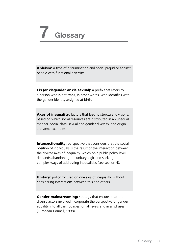# **7 Glossary**

Ableism: a type of discrimination and social prejudice against people with functional diversity.

Cis (or cisgender or cis-sexual): a prefix that refers to a person who is not trans, in other words, who identifies with the gender identity assigned at birth.

Axes of inequality: factors that lead to structural divisions, based on which social resources are distributed in an unequal manner. Social class, sexual and gender diversity, and origin are some examples.

Intersectionality: perspective that considers that the social position of individuals is the result of the interaction between the diverse axes of inequality, which on a public policy level demands abandoning the unitary logic and seeking more complex ways of addressing inequalities (see section 4).

**Unitary:** policy focused on one axis of inequality, without considering interactions between this and others.

Gender mainstreaming: strategy that ensures that the diverse actors involved incorporate the perspective of gender equality into all their policies, on all levels and in all phases (European Council, 1998).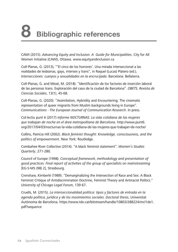# **8 Bibliographic references**

CAWI (2015). Advancing Equity and Inclusion. A Guide for Municipalities. City for All Women Initiative (CAWI), Ottawa. [www.equityandinclusion.ca](http://www.equityandinclusion.ca/)

Coll-Planas, G. (2013), "'El circo de los horrores'. Una mirada interseccional a las realidades de lesbianas, gays, intersex y trans", in Raquel (Lucas) Platero (ed.), Intersecciones: cuerpos y sexualidades en la encrucijada. Barcelona: Bellaterra.

Coll-Planas, G. and Missé, M. (2018). "Identificación de los factores de inserción laboral de las personas trans. Exploración del caso de la ciudad de Barcelona". OBETS, Revista de Ciencias Sociales, 13(1), 45-68.

Coll-Planas, G. (2020). "Assimilation, Hybridity and Encountering. The cinematic representation of queer migrants from Muslim backgrounds living in Europe". Communications - The European Journal of Communication Research. In press.

Col·lectiu punt 6 (2017) Informe NOCTURNAS. La vida cotidiana de las mujeres que trabajan de noche en el área metropolitana de Barcelona. http://www.punt6. org/2017/04/03/nocturnas-la-vida-cotidiana-de-las-mujeres-que-trabajan-de-noche/

Collins, Patricia Hill (2002). Black feminist thought: Knowledge, consciousness, and the politics of empowerment. New York: Routledge.

Combahee River Collective (2014). "A black feminist statement". Women's Studies Quarterly, 271-280.

Council of Europe (1998). Conceptual framework, methodology and presentation of good practices: Final report of activities of the group of specialists on mainstreaming [EG-S-MS (98) 2], Strasbourg.

Crenshaw, Kimberlé (1989). "Demarginalizing the Intersection of Race and Sex: A Black Feminist Critique of Antidiscrimination Doctrine, Feminist Theory and Antiracist Politics." University of Chicago Legal Forum, 139-67.

Cruells, M. (2015). La interseccionalidad política: tipos y factores de entrada en la agenda política, jurídica y de los movimientos sociales. Doctoral thesis, Universitat Autònoma de Barcelona. [https://www.tdx.cat/bitstream/handle/10803/288224/mcl1de1.](https://www.tdx.cat/bitstream/handle/10803/288224/mcl1de1.pdf?sequence) [pdf?sequence](https://www.tdx.cat/bitstream/handle/10803/288224/mcl1de1.pdf?sequence)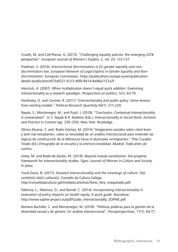Cruells, M. and Coll-Planas, G. (2013). "Challenging equality policies: the emerging LGTB perspective". European Journal of Women's Studies, 2, vol. 20: 122-137.

Fredman, S. (2016). Intersectional discrimination in EU gender equality and nondiscrimination law. European Network of Legal Experts in Gender Equality and Non-Discrimination. European Commission. [https://publications.europa.eu/en/publication](https://publications.europa.eu/en/publication-detail/-/publication/d73a9221-b7c3-40f6-8414-8a48a2157a2f)[detail/-/publication/d73a9221-b7c3-40f6-8414-8a48a2157a2f](https://publications.europa.eu/en/publication-detail/-/publication/d73a9221-b7c3-40f6-8414-8a48a2157a2f)

Hancock, A. (2007). When multiplication doesn't equal quick addition: Examining intersectionality as a research paradigm. Perspectives on politics, 5(1), 63-79.

Hankivsky, O. and Cormier, R. (2011) "Intersectionality and public policy: Some lessons from existing models." Political Research Quarterly 64(1): 217-229.

Nayak, S.; Montenegro, M.; and Pujol, J. (2018). "Conclusion: Contextual intersectionality: A conversation". In S. Nayak & R. Robbins (Eds.), Intersectionality in Social Work: Activism and Practice in Context (pp. 230–250). New York: Routledge.

Olmos Alcaraz, S. and Rubio Gómez, M. (2014) "Imaginarios sociales sobre «la/el buen y la/el mal estudiante»: sobre la necesidad de un análisis interseccional para entender las lógicas de construcción de la diferencia hacia el alumnado «inmigrante»." Pilar Cucalón Tirado (Ed.) Etnografía de la escuela y la interseccionalidad. Madrid: Traficantes de sueños.

Jorba, M. and Rodó-de-Zárate, M. (2019). Beyond mutual constitution: the property framework for intersectionality studies. Signs. Journal of Women in Culture and Society. In press.

Yuval-Davis, N. (2017). Situated intersectionality and the meanings of culture: O(s) sentido(s) da(s) cultura(s). Consello da Cultura Galega. [http://consellodacultura.gal/mediateca/extras/Texto\\_Nira\\_maquetado.pdf](http://consellodacultura.gal/mediateca/extras/Texto_Nira_maquetado.pdf) 

Palència, L.; Malmusi, D.; and Borrell, C. (2014). Incorporating intersectionality in evaluation of policy impacts on health equity. A quick guide. Barcelona: [http://www.sophie-project.eu/pdf/Guide\\_intersectionality\\_SOPHIE.pdf](http://www.sophie-project.eu/pdf/Guide_intersectionality_SOPHIE.pdf)

Romero Bachiller, C. and Montenegro, M. (2018). "Políticas públicas para la gestión de la diversidad sexual y de género: Un análisis interseccional". Psicoperspectivas, 17(1), 64-77.